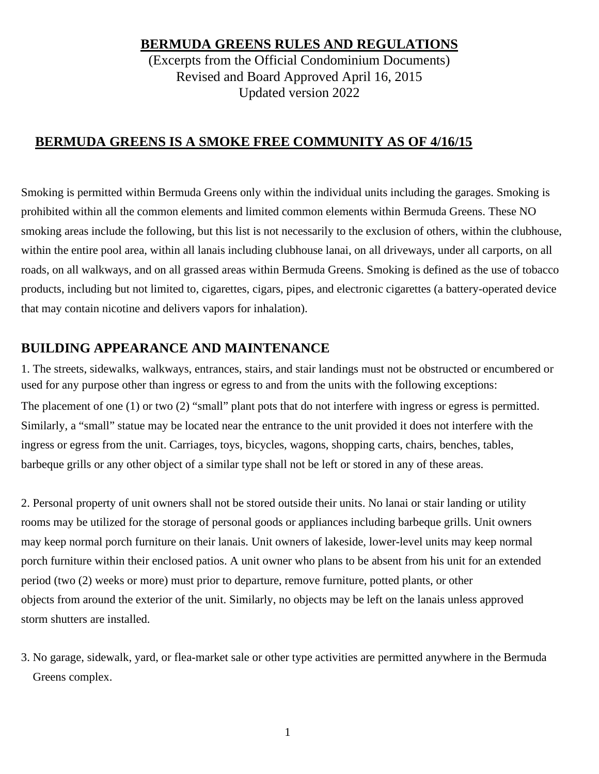**BERMUDA GREENS RULES AND REGULATIONS**

(Excerpts from the Official Condominium Documents) Revised and Board Approved April 16, 2015 Updated version 2022

## **BERMUDA GREENS IS A SMOKE FREE COMMUNITY AS OF 4/16/15**

Smoking is permitted within Bermuda Greens only within the individual units including the garages. Smoking is prohibited within all the common elements and limited common elements within Bermuda Greens. These NO smoking areas include the following, but this list is not necessarily to the exclusion of others, within the clubhouse, within the entire pool area, within all lanais including clubhouse lanai, on all driveways, under all carports, on all roads, on all walkways, and on all grassed areas within Bermuda Greens. Smoking is defined as the use of tobacco products, including but not limited to, cigarettes, cigars, pipes, and electronic cigarettes (a battery-operated device that may contain nicotine and delivers vapors for inhalation).

## **BUILDING APPEARANCE AND MAINTENANCE**

1. The streets, sidewalks, walkways, entrances, stairs, and stair landings must not be obstructed or encumbered or used for any purpose other than ingress or egress to and from the units with the following exceptions: The placement of one (1) or two (2) "small" plant pots that do not interfere with ingress or egress is permitted. Similarly, a "small" statue may be located near the entrance to the unit provided it does not interfere with the ingress or egress from the unit. Carriages, toys, bicycles, wagons, shopping carts, chairs, benches, tables, barbeque grills or any other object of a similar type shall not be left or stored in any of these areas.

2. Personal property of unit owners shall not be stored outside their units. No lanai or stair landing or utility rooms may be utilized for the storage of personal goods or appliances including barbeque grills. Unit owners may keep normal porch furniture on their lanais. Unit owners of lakeside, lower-level units may keep normal porch furniture within their enclosed patios. A unit owner who plans to be absent from his unit for an extended period (two (2) weeks or more) must prior to departure, remove furniture, potted plants, or other objects from around the exterior of the unit. Similarly, no objects may be left on the lanais unless approved storm shutters are installed.

3. No garage, sidewalk, yard, or flea-market sale or other type activities are permitted anywhere in the Bermuda Greens complex.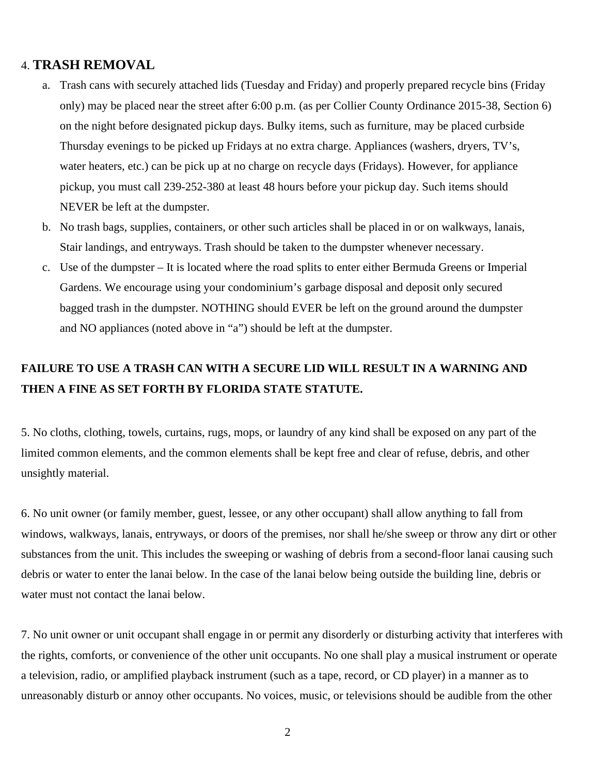### 4. **TRASH REMOVAL**

- a. Trash cans with securely attached lids (Tuesday and Friday) and properly prepared recycle bins (Friday only) may be placed near the street after 6:00 p.m. (as per Collier County Ordinance 2015-38, Section 6) on the night before designated pickup days. Bulky items, such as furniture, may be placed curbside Thursday evenings to be picked up Fridays at no extra charge. Appliances (washers, dryers, TV's, water heaters, etc.) can be pick up at no charge on recycle days (Fridays). However, for appliance pickup, you must call 239-252-380 at least 48 hours before your pickup day. Such items should NEVER be left at the dumpster.
- b. No trash bags, supplies, containers, or other such articles shall be placed in or on walkways, lanais, Stair landings, and entryways. Trash should be taken to the dumpster whenever necessary.
- c. Use of the dumpster It is located where the road splits to enter either Bermuda Greens or Imperial Gardens. We encourage using your condominium's garbage disposal and deposit only secured bagged trash in the dumpster. NOTHING should EVER be left on the ground around the dumpster and NO appliances (noted above in "a") should be left at the dumpster.

# **FAILURE TO USE A TRASH CAN WITH A SECURE LID WILL RESULT IN A WARNING AND THEN A FINE AS SET FORTH BY FLORIDA STATE STATUTE.**

5. No cloths, clothing, towels, curtains, rugs, mops, or laundry of any kind shall be exposed on any part of the limited common elements, and the common elements shall be kept free and clear of refuse, debris, and other unsightly material.

6. No unit owner (or family member, guest, lessee, or any other occupant) shall allow anything to fall from windows, walkways, lanais, entryways, or doors of the premises, nor shall he/she sweep or throw any dirt or other substances from the unit. This includes the sweeping or washing of debris from a second-floor lanai causing such debris or water to enter the lanai below. In the case of the lanai below being outside the building line, debris or water must not contact the lanai below.

7. No unit owner or unit occupant shall engage in or permit any disorderly or disturbing activity that interferes with the rights, comforts, or convenience of the other unit occupants. No one shall play a musical instrument or operate a television, radio, or amplified playback instrument (such as a tape, record, or CD player) in a manner as to unreasonably disturb or annoy other occupants. No voices, music, or televisions should be audible from the other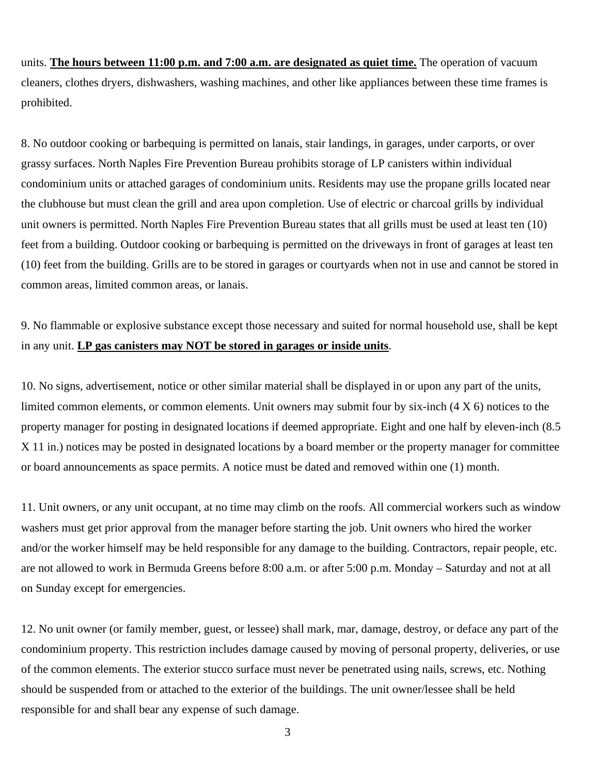units. **The hours between 11:00 p.m. and 7:00 a.m. are designated as quiet time.** The operation of vacuum cleaners, clothes dryers, dishwashers, washing machines, and other like appliances between these time frames is prohibited.

8. No outdoor cooking or barbequing is permitted on lanais, stair landings, in garages, under carports, or over grassy surfaces. North Naples Fire Prevention Bureau prohibits storage of LP canisters within individual condominium units or attached garages of condominium units. Residents may use the propane grills located near the clubhouse but must clean the grill and area upon completion. Use of electric or charcoal grills by individual unit owners is permitted. North Naples Fire Prevention Bureau states that all grills must be used at least ten (10) feet from a building. Outdoor cooking or barbequing is permitted on the driveways in front of garages at least ten (10) feet from the building. Grills are to be stored in garages or courtyards when not in use and cannot be stored in common areas, limited common areas, or lanais.

9. No flammable or explosive substance except those necessary and suited for normal household use, shall be kept in any unit. **LP gas canisters may NOT be stored in garages or inside units**.

10. No signs, advertisement, notice or other similar material shall be displayed in or upon any part of the units, limited common elements, or common elements. Unit owners may submit four by six-inch (4 X 6) notices to the property manager for posting in designated locations if deemed appropriate. Eight and one half by eleven-inch (8.5 X 11 in.) notices may be posted in designated locations by a board member or the property manager for committee or board announcements as space permits. A notice must be dated and removed within one (1) month.

11. Unit owners, or any unit occupant, at no time may climb on the roofs. All commercial workers such as window washers must get prior approval from the manager before starting the job. Unit owners who hired the worker and/or the worker himself may be held responsible for any damage to the building. Contractors, repair people, etc. are not allowed to work in Bermuda Greens before 8:00 a.m. or after 5:00 p.m. Monday – Saturday and not at all on Sunday except for emergencies.

12. No unit owner (or family member, guest, or lessee) shall mark, mar, damage, destroy, or deface any part of the condominium property. This restriction includes damage caused by moving of personal property, deliveries, or use of the common elements. The exterior stucco surface must never be penetrated using nails, screws, etc. Nothing should be suspended from or attached to the exterior of the buildings. The unit owner/lessee shall be held responsible for and shall bear any expense of such damage.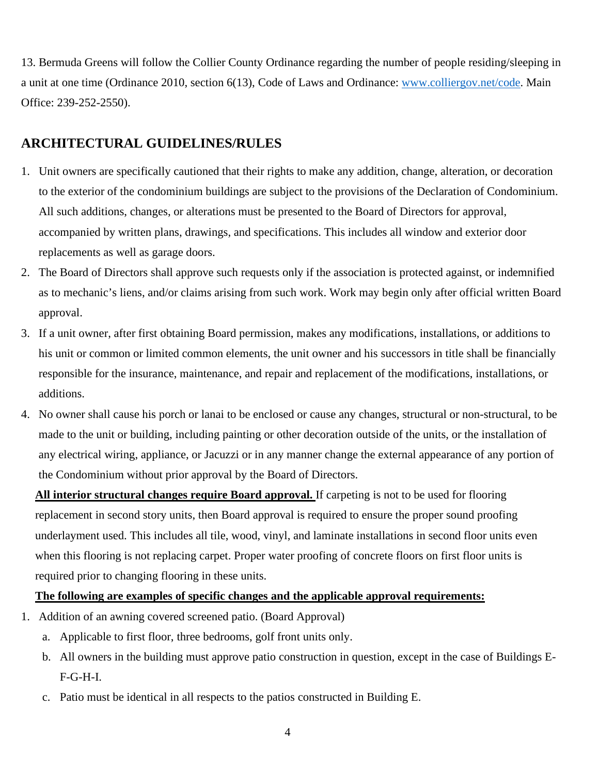13. Bermuda Greens will follow the Collier County Ordinance regarding the number of people residing/sleeping in a unit at one time (Ordinance 2010, section 6(13), Code of Laws and Ordinance: [www.colliergov.net/code.](http://www.colliergov.net/code) Main Office: 239-252-2550).

## **ARCHITECTURAL GUIDELINES/RULES**

- 1. Unit owners are specifically cautioned that their rights to make any addition, change, alteration, or decoration to the exterior of the condominium buildings are subject to the provisions of the Declaration of Condominium. All such additions, changes, or alterations must be presented to the Board of Directors for approval, accompanied by written plans, drawings, and specifications. This includes all window and exterior door replacements as well as garage doors.
- 2. The Board of Directors shall approve such requests only if the association is protected against, or indemnified as to mechanic's liens, and/or claims arising from such work. Work may begin only after official written Board approval.
- 3. If a unit owner, after first obtaining Board permission, makes any modifications, installations, or additions to his unit or common or limited common elements, the unit owner and his successors in title shall be financially responsible for the insurance, maintenance, and repair and replacement of the modifications, installations, or additions.
- 4. No owner shall cause his porch or lanai to be enclosed or cause any changes, structural or non-structural, to be made to the unit or building, including painting or other decoration outside of the units, or the installation of any electrical wiring, appliance, or Jacuzzi or in any manner change the external appearance of any portion of the Condominium without prior approval by the Board of Directors.

**All interior structural changes require Board approval.** If carpeting is not to be used for flooring replacement in second story units, then Board approval is required to ensure the proper sound proofing underlayment used. This includes all tile, wood, vinyl, and laminate installations in second floor units even when this flooring is not replacing carpet. Proper water proofing of concrete floors on first floor units is required prior to changing flooring in these units.

### **The following are examples of specific changes and the applicable approval requirements:**

- 1. Addition of an awning covered screened patio. (Board Approval)
	- a. Applicable to first floor, three bedrooms, golf front units only.
	- b. All owners in the building must approve patio construction in question, except in the case of Buildings E-F-G-H-I.
	- c. Patio must be identical in all respects to the patios constructed in Building E.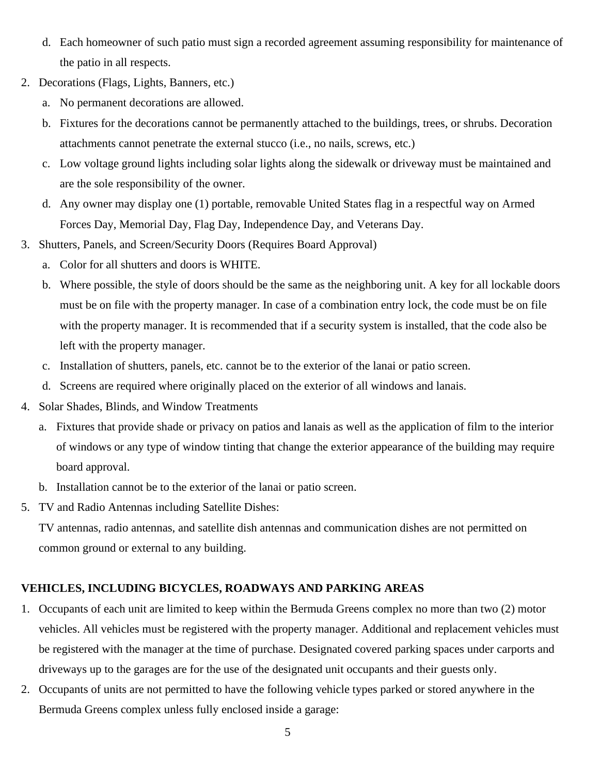- d. Each homeowner of such patio must sign a recorded agreement assuming responsibility for maintenance of the patio in all respects.
- 2. Decorations (Flags, Lights, Banners, etc.)
	- a. No permanent decorations are allowed.
	- b. Fixtures for the decorations cannot be permanently attached to the buildings, trees, or shrubs. Decoration attachments cannot penetrate the external stucco (i.e., no nails, screws, etc.)
	- c. Low voltage ground lights including solar lights along the sidewalk or driveway must be maintained and are the sole responsibility of the owner.
	- d. Any owner may display one (1) portable, removable United States flag in a respectful way on Armed Forces Day, Memorial Day, Flag Day, Independence Day, and Veterans Day.
- 3. Shutters, Panels, and Screen/Security Doors (Requires Board Approval)
	- a. Color for all shutters and doors is WHITE.
	- b. Where possible, the style of doors should be the same as the neighboring unit. A key for all lockable doors must be on file with the property manager. In case of a combination entry lock, the code must be on file with the property manager. It is recommended that if a security system is installed, that the code also be left with the property manager.
	- c. Installation of shutters, panels, etc. cannot be to the exterior of the lanai or patio screen.
	- d. Screens are required where originally placed on the exterior of all windows and lanais.
- 4. Solar Shades, Blinds, and Window Treatments
	- a. Fixtures that provide shade or privacy on patios and lanais as well as the application of film to the interior of windows or any type of window tinting that change the exterior appearance of the building may require board approval.
	- b. Installation cannot be to the exterior of the lanai or patio screen.
- 5. TV and Radio Antennas including Satellite Dishes:

TV antennas, radio antennas, and satellite dish antennas and communication dishes are not permitted on common ground or external to any building.

#### **VEHICLES, INCLUDING BICYCLES, ROADWAYS AND PARKING AREAS**

- 1. Occupants of each unit are limited to keep within the Bermuda Greens complex no more than two (2) motor vehicles. All vehicles must be registered with the property manager. Additional and replacement vehicles must be registered with the manager at the time of purchase. Designated covered parking spaces under carports and driveways up to the garages are for the use of the designated unit occupants and their guests only.
- 2. Occupants of units are not permitted to have the following vehicle types parked or stored anywhere in the Bermuda Greens complex unless fully enclosed inside a garage: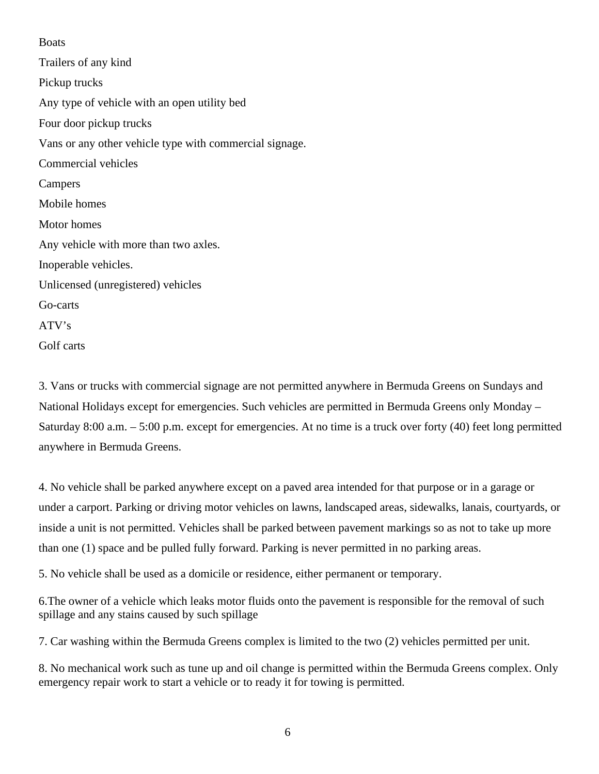#### Boats

Trailers of any kind Pickup trucks Any type of vehicle with an open utility bed Four door pickup trucks Vans or any other vehicle type with commercial signage. Commercial vehicles **Campers** Mobile homes Motor homes Any vehicle with more than two axles. Inoperable vehicles. Unlicensed (unregistered) vehicles Go-carts ATV's Golf carts

3. Vans or trucks with commercial signage are not permitted anywhere in Bermuda Greens on Sundays and National Holidays except for emergencies. Such vehicles are permitted in Bermuda Greens only Monday – Saturday 8:00 a.m. – 5:00 p.m. except for emergencies. At no time is a truck over forty (40) feet long permitted anywhere in Bermuda Greens.

4. No vehicle shall be parked anywhere except on a paved area intended for that purpose or in a garage or under a carport. Parking or driving motor vehicles on lawns, landscaped areas, sidewalks, lanais, courtyards, or inside a unit is not permitted. Vehicles shall be parked between pavement markings so as not to take up more than one (1) space and be pulled fully forward. Parking is never permitted in no parking areas.

5. No vehicle shall be used as a domicile or residence, either permanent or temporary.

6.The owner of a vehicle which leaks motor fluids onto the pavement is responsible for the removal of such spillage and any stains caused by such spillage

7. Car washing within the Bermuda Greens complex is limited to the two (2) vehicles permitted per unit.

8. No mechanical work such as tune up and oil change is permitted within the Bermuda Greens complex. Only emergency repair work to start a vehicle or to ready it for towing is permitted.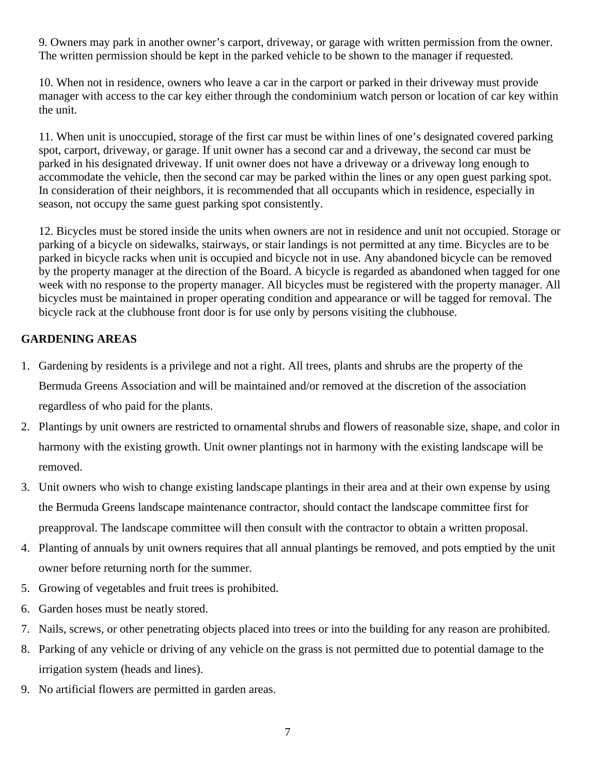9. Owners may park in another owner's carport, driveway, or garage with written permission from the owner. The written permission should be kept in the parked vehicle to be shown to the manager if requested.

10. When not in residence, owners who leave a car in the carport or parked in their driveway must provide manager with access to the car key either through the condominium watch person or location of car key within the unit.

11. When unit is unoccupied, storage of the first car must be within lines of one's designated covered parking spot, carport, driveway, or garage. If unit owner has a second car and a driveway, the second car must be parked in his designated driveway. If unit owner does not have a driveway or a driveway long enough to accommodate the vehicle, then the second car may be parked within the lines or any open guest parking spot. In consideration of their neighbors, it is recommended that all occupants which in residence, especially in season, not occupy the same guest parking spot consistently.

12. Bicycles must be stored inside the units when owners are not in residence and unit not occupied. Storage or parking of a bicycle on sidewalks, stairways, or stair landings is not permitted at any time. Bicycles are to be parked in bicycle racks when unit is occupied and bicycle not in use. Any abandoned bicycle can be removed by the property manager at the direction of the Board. A bicycle is regarded as abandoned when tagged for one week with no response to the property manager. All bicycles must be registered with the property manager. All bicycles must be maintained in proper operating condition and appearance or will be tagged for removal. The bicycle rack at the clubhouse front door is for use only by persons visiting the clubhouse.

## **GARDENING AREAS**

- 1. Gardening by residents is a privilege and not a right. All trees, plants and shrubs are the property of the Bermuda Greens Association and will be maintained and/or removed at the discretion of the association regardless of who paid for the plants.
- 2. Plantings by unit owners are restricted to ornamental shrubs and flowers of reasonable size, shape, and color in harmony with the existing growth. Unit owner plantings not in harmony with the existing landscape will be removed.
- 3. Unit owners who wish to change existing landscape plantings in their area and at their own expense by using the Bermuda Greens landscape maintenance contractor, should contact the landscape committee first for preapproval. The landscape committee will then consult with the contractor to obtain a written proposal.
- 4. Planting of annuals by unit owners requires that all annual plantings be removed, and pots emptied by the unit owner before returning north for the summer.
- 5. Growing of vegetables and fruit trees is prohibited.
- 6. Garden hoses must be neatly stored.
- 7. Nails, screws, or other penetrating objects placed into trees or into the building for any reason are prohibited.
- 8. Parking of any vehicle or driving of any vehicle on the grass is not permitted due to potential damage to the irrigation system (heads and lines).
- 9. No artificial flowers are permitted in garden areas.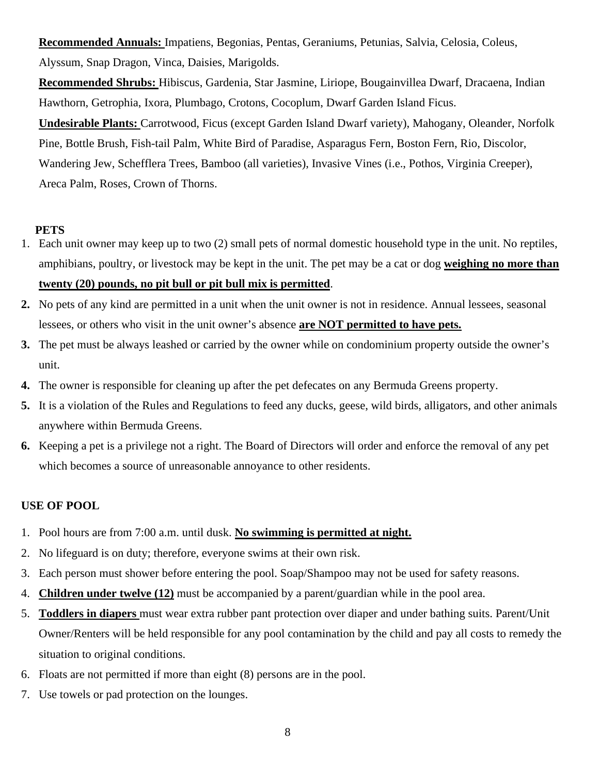**Recommended Annuals:** Impatiens, Begonias, Pentas, Geraniums, Petunias, Salvia, Celosia, Coleus, Alyssum, Snap Dragon, Vinca, Daisies, Marigolds.

**Recommended Shrubs:** Hibiscus, Gardenia, Star Jasmine, Liriope, Bougainvillea Dwarf, Dracaena, Indian Hawthorn, Getrophia, Ixora, Plumbago, Crotons, Cocoplum, Dwarf Garden Island Ficus. **Undesirable Plants:** Carrotwood, Ficus (except Garden Island Dwarf variety), Mahogany, Oleander, Norfolk Pine, Bottle Brush, Fish-tail Palm, White Bird of Paradise, Asparagus Fern, Boston Fern, Rio, Discolor, Wandering Jew, Schefflera Trees, Bamboo (all varieties), Invasive Vines (i.e., Pothos, Virginia Creeper), Areca Palm, Roses, Crown of Thorns.

### **PETS**

- 1. Each unit owner may keep up to two (2) small pets of normal domestic household type in the unit. No reptiles, amphibians, poultry, or livestock may be kept in the unit. The pet may be a cat or dog **weighing no more than twenty (20) pounds, no pit bull or pit bull mix is permitted**.
- **2.** No pets of any kind are permitted in a unit when the unit owner is not in residence. Annual lessees, seasonal lessees, or others who visit in the unit owner's absence **are NOT permitted to have pets.**
- **3.** The pet must be always leashed or carried by the owner while on condominium property outside the owner's unit.
- **4.** The owner is responsible for cleaning up after the pet defecates on any Bermuda Greens property.
- **5.** It is a violation of the Rules and Regulations to feed any ducks, geese, wild birds, alligators, and other animals anywhere within Bermuda Greens.
- **6.** Keeping a pet is a privilege not a right. The Board of Directors will order and enforce the removal of any pet which becomes a source of unreasonable annoyance to other residents.

### **USE OF POOL**

- 1. Pool hours are from 7:00 a.m. until dusk. **No swimming is permitted at night.**
- 2. No lifeguard is on duty; therefore, everyone swims at their own risk.
- 3. Each person must shower before entering the pool. Soap/Shampoo may not be used for safety reasons.
- 4. **Children under twelve (12)** must be accompanied by a parent/guardian while in the pool area.
- 5. **Toddlers in diapers** must wear extra rubber pant protection over diaper and under bathing suits. Parent/Unit Owner/Renters will be held responsible for any pool contamination by the child and pay all costs to remedy the situation to original conditions.
- 6. Floats are not permitted if more than eight (8) persons are in the pool.
- 7. Use towels or pad protection on the lounges.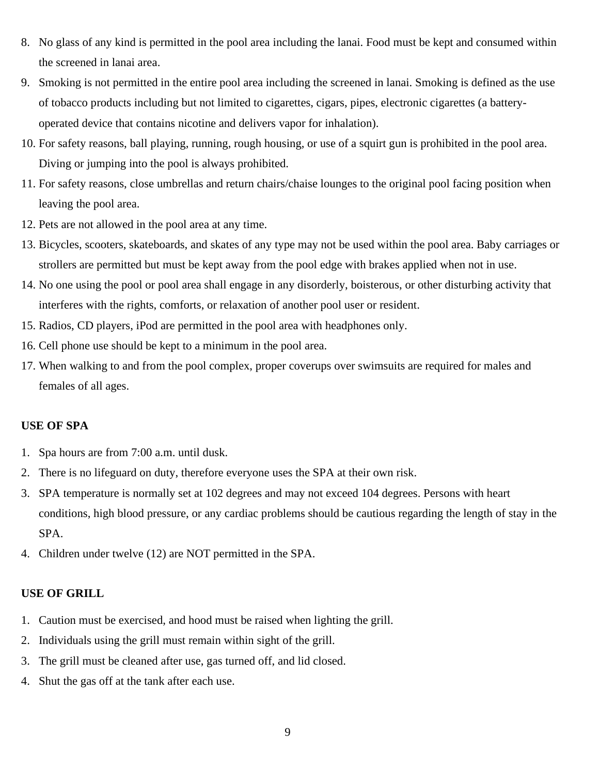- 8. No glass of any kind is permitted in the pool area including the lanai. Food must be kept and consumed within the screened in lanai area.
- 9. Smoking is not permitted in the entire pool area including the screened in lanai. Smoking is defined as the use of tobacco products including but not limited to cigarettes, cigars, pipes, electronic cigarettes (a batteryoperated device that contains nicotine and delivers vapor for inhalation).
- 10. For safety reasons, ball playing, running, rough housing, or use of a squirt gun is prohibited in the pool area. Diving or jumping into the pool is always prohibited.
- 11. For safety reasons, close umbrellas and return chairs/chaise lounges to the original pool facing position when leaving the pool area.
- 12. Pets are not allowed in the pool area at any time.
- 13. Bicycles, scooters, skateboards, and skates of any type may not be used within the pool area. Baby carriages or strollers are permitted but must be kept away from the pool edge with brakes applied when not in use.
- 14. No one using the pool or pool area shall engage in any disorderly, boisterous, or other disturbing activity that interferes with the rights, comforts, or relaxation of another pool user or resident.
- 15. Radios, CD players, iPod are permitted in the pool area with headphones only.
- 16. Cell phone use should be kept to a minimum in the pool area.
- 17. When walking to and from the pool complex, proper coverups over swimsuits are required for males and females of all ages.

#### **USE OF SPA**

- 1. Spa hours are from 7:00 a.m. until dusk.
- 2. There is no lifeguard on duty, therefore everyone uses the SPA at their own risk.
- 3. SPA temperature is normally set at 102 degrees and may not exceed 104 degrees. Persons with heart conditions, high blood pressure, or any cardiac problems should be cautious regarding the length of stay in the SPA.
- 4. Children under twelve (12) are NOT permitted in the SPA.

#### **USE OF GRILL**

- 1. Caution must be exercised, and hood must be raised when lighting the grill.
- 2. Individuals using the grill must remain within sight of the grill.
- 3. The grill must be cleaned after use, gas turned off, and lid closed.
- 4. Shut the gas off at the tank after each use.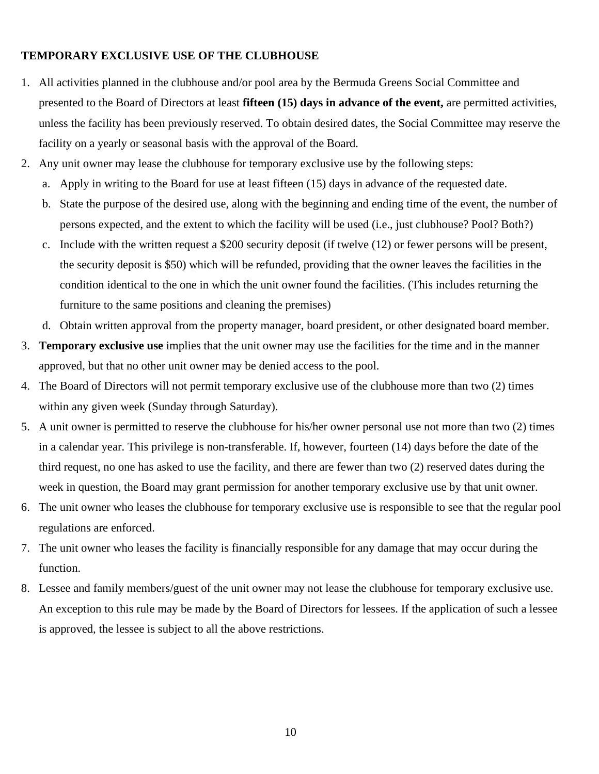### **TEMPORARY EXCLUSIVE USE OF THE CLUBHOUSE**

- 1. All activities planned in the clubhouse and/or pool area by the Bermuda Greens Social Committee and presented to the Board of Directors at least **fifteen (15) days in advance of the event,** are permitted activities, unless the facility has been previously reserved. To obtain desired dates, the Social Committee may reserve the facility on a yearly or seasonal basis with the approval of the Board.
- 2. Any unit owner may lease the clubhouse for temporary exclusive use by the following steps:
	- a. Apply in writing to the Board for use at least fifteen (15) days in advance of the requested date.
	- b. State the purpose of the desired use, along with the beginning and ending time of the event, the number of persons expected, and the extent to which the facility will be used (i.e., just clubhouse? Pool? Both?)
	- c. Include with the written request a \$200 security deposit (if twelve (12) or fewer persons will be present, the security deposit is \$50) which will be refunded, providing that the owner leaves the facilities in the condition identical to the one in which the unit owner found the facilities. (This includes returning the furniture to the same positions and cleaning the premises)
	- d. Obtain written approval from the property manager, board president, or other designated board member.
- 3. **Temporary exclusive use** implies that the unit owner may use the facilities for the time and in the manner approved, but that no other unit owner may be denied access to the pool.
- 4. The Board of Directors will not permit temporary exclusive use of the clubhouse more than two (2) times within any given week (Sunday through Saturday).
- 5. A unit owner is permitted to reserve the clubhouse for his/her owner personal use not more than two (2) times in a calendar year. This privilege is non-transferable. If, however, fourteen (14) days before the date of the third request, no one has asked to use the facility, and there are fewer than two (2) reserved dates during the week in question, the Board may grant permission for another temporary exclusive use by that unit owner.
- 6. The unit owner who leases the clubhouse for temporary exclusive use is responsible to see that the regular pool regulations are enforced.
- 7. The unit owner who leases the facility is financially responsible for any damage that may occur during the function.
- 8. Lessee and family members/guest of the unit owner may not lease the clubhouse for temporary exclusive use. An exception to this rule may be made by the Board of Directors for lessees. If the application of such a lessee is approved, the lessee is subject to all the above restrictions.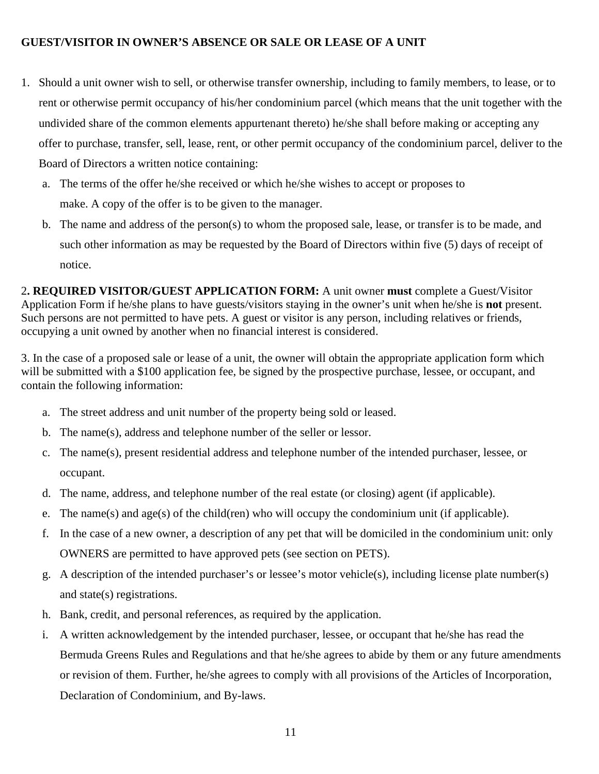### **GUEST/VISITOR IN OWNER'S ABSENCE OR SALE OR LEASE OF A UNIT**

- 1. Should a unit owner wish to sell, or otherwise transfer ownership, including to family members, to lease, or to rent or otherwise permit occupancy of his/her condominium parcel (which means that the unit together with the undivided share of the common elements appurtenant thereto) he/she shall before making or accepting any offer to purchase, transfer, sell, lease, rent, or other permit occupancy of the condominium parcel, deliver to the Board of Directors a written notice containing:
	- a. The terms of the offer he/she received or which he/she wishes to accept or proposes to make. A copy of the offer is to be given to the manager.
	- b. The name and address of the person(s) to whom the proposed sale, lease, or transfer is to be made, and such other information as may be requested by the Board of Directors within five (5) days of receipt of notice.

2**. REQUIRED VISITOR/GUEST APPLICATION FORM:** A unit owner **must** complete a Guest/Visitor Application Form if he/she plans to have guests/visitors staying in the owner's unit when he/she is **not** present. Such persons are not permitted to have pets. A guest or visitor is any person, including relatives or friends, occupying a unit owned by another when no financial interest is considered.

3. In the case of a proposed sale or lease of a unit, the owner will obtain the appropriate application form which will be submitted with a \$100 application fee, be signed by the prospective purchase, lessee, or occupant, and contain the following information:

- a. The street address and unit number of the property being sold or leased.
- b. The name(s), address and telephone number of the seller or lessor.
- c. The name(s), present residential address and telephone number of the intended purchaser, lessee, or occupant.
- d. The name, address, and telephone number of the real estate (or closing) agent (if applicable).
- e. The name(s) and age(s) of the child(ren) who will occupy the condominium unit (if applicable).
- f. In the case of a new owner, a description of any pet that will be domiciled in the condominium unit: only OWNERS are permitted to have approved pets (see section on PETS).
- g. A description of the intended purchaser's or lessee's motor vehicle(s), including license plate number(s) and state(s) registrations.
- h. Bank, credit, and personal references, as required by the application.
- i. A written acknowledgement by the intended purchaser, lessee, or occupant that he/she has read the Bermuda Greens Rules and Regulations and that he/she agrees to abide by them or any future amendments or revision of them. Further, he/she agrees to comply with all provisions of the Articles of Incorporation, Declaration of Condominium, and By-laws.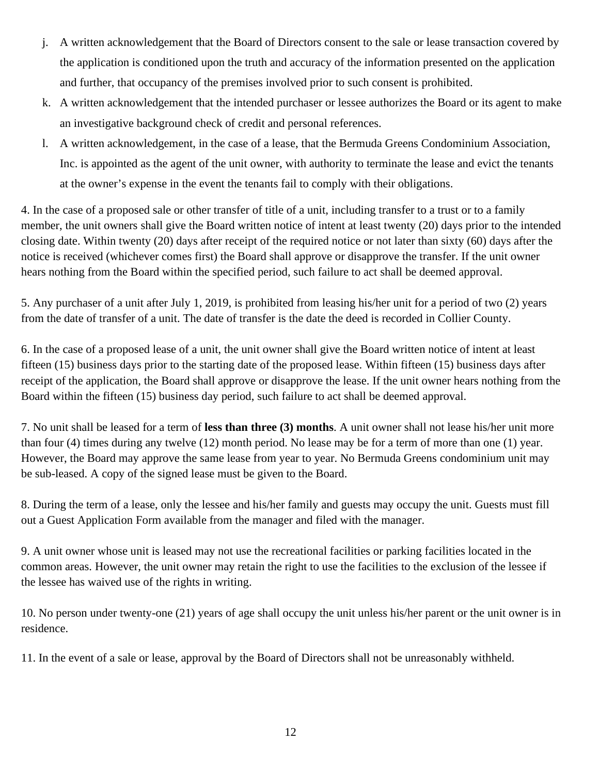- j. A written acknowledgement that the Board of Directors consent to the sale or lease transaction covered by the application is conditioned upon the truth and accuracy of the information presented on the application and further, that occupancy of the premises involved prior to such consent is prohibited.
- k. A written acknowledgement that the intended purchaser or lessee authorizes the Board or its agent to make an investigative background check of credit and personal references.
- l. A written acknowledgement, in the case of a lease, that the Bermuda Greens Condominium Association, Inc. is appointed as the agent of the unit owner, with authority to terminate the lease and evict the tenants at the owner's expense in the event the tenants fail to comply with their obligations.

4. In the case of a proposed sale or other transfer of title of a unit, including transfer to a trust or to a family member, the unit owners shall give the Board written notice of intent at least twenty (20) days prior to the intended closing date. Within twenty (20) days after receipt of the required notice or not later than sixty (60) days after the notice is received (whichever comes first) the Board shall approve or disapprove the transfer. If the unit owner hears nothing from the Board within the specified period, such failure to act shall be deemed approval.

5. Any purchaser of a unit after July 1, 2019, is prohibited from leasing his/her unit for a period of two (2) years from the date of transfer of a unit. The date of transfer is the date the deed is recorded in Collier County.

6. In the case of a proposed lease of a unit, the unit owner shall give the Board written notice of intent at least fifteen (15) business days prior to the starting date of the proposed lease. Within fifteen (15) business days after receipt of the application, the Board shall approve or disapprove the lease. If the unit owner hears nothing from the Board within the fifteen (15) business day period, such failure to act shall be deemed approval.

7. No unit shall be leased for a term of **less than three (3) months**. A unit owner shall not lease his/her unit more than four (4) times during any twelve (12) month period. No lease may be for a term of more than one (1) year. However, the Board may approve the same lease from year to year. No Bermuda Greens condominium unit may be sub-leased. A copy of the signed lease must be given to the Board.

8. During the term of a lease, only the lessee and his/her family and guests may occupy the unit. Guests must fill out a Guest Application Form available from the manager and filed with the manager.

9. A unit owner whose unit is leased may not use the recreational facilities or parking facilities located in the common areas. However, the unit owner may retain the right to use the facilities to the exclusion of the lessee if the lessee has waived use of the rights in writing.

10. No person under twenty-one (21) years of age shall occupy the unit unless his/her parent or the unit owner is in residence.

11. In the event of a sale or lease, approval by the Board of Directors shall not be unreasonably withheld.